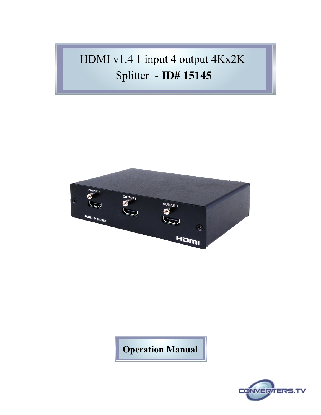# HDMI v1.4 1 input 4 output [4Kx2K](http://www.converters.tv/products/vga_to_vga/425.html) [Splitter](http://www.converters.tv/products/vga_to_vga/425.html) - **ID# 15145**



## **Operation Manual**

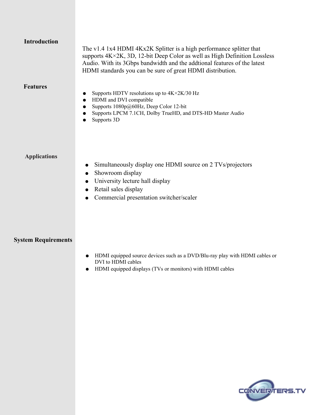| <b>Introduction</b>        | The v1.4 1x4 HDMI 4Kx2K Splitter is a high performance splitter that<br>supports $4K \times 2K$ , 3D, 12-bit Deep Color as well as High Definition Lossless<br>Audio. With its 3Gbps bandwidth and the addtional features of the latest<br>HDMI standards you can be sure of great HDMI distribution. |
|----------------------------|-------------------------------------------------------------------------------------------------------------------------------------------------------------------------------------------------------------------------------------------------------------------------------------------------------|
| <b>Features</b>            | Supports HDTV resolutions up to $4K \times 2K/30$ Hz<br>HDMI and DVI compatible<br>$\bullet$<br>Supports 1080p@60Hz, Deep Color 12-bit<br>Supports LPCM 7.1CH, Dolby TrueHD, and DTS-HD Master Audio<br>Supports 3D                                                                                   |
| <b>Applications</b>        | Simultaneously display one HDMI source on 2 TVs/projectors<br>Showroom display<br>University lecture hall display<br>Retail sales display<br>Commercial presentation switcher/scaler                                                                                                                  |
| <b>System Requirements</b> |                                                                                                                                                                                                                                                                                                       |

- HDMI equipped source devices such as a DVD/Blu-ray play with HDMI cables or DVI to HDMI cables
- HDMI equipped displays (TVs or monitors) with HDMI cables

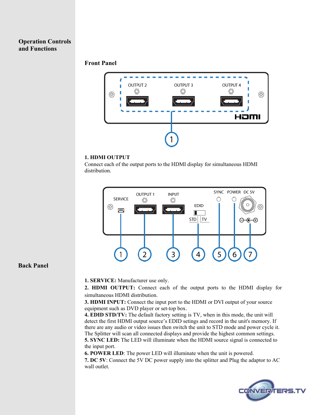#### **Operation Controls and Functions**

#### **Front Panel**



#### **1. HDMI OUTPUT**

Connect each of the output ports to the HDMI display for simultaneous HDMI distribution.



#### **Back Panel**

**1. SERVICE:** Manufacturer use only.

**2. HDMI OUTPUT:** Connect each of the output ports to the HDMI display for simultaneous HDMI distribution.

**3. HDMI INPUT:** Connect the input port to the HDMI or DVI output of your source equipment such as DVD player or set-top box.

**4. EDID STD/TV:** The default factory setting is TV, when in this mode, the unit will detect the first HDMI output source's EDID setings and record in the unit's memory. If there are any audio or video issues then switch the unit to STD mode and power cycle it. The Splitter will scan all connected displays and provide the highest common settings. **5. SYNC LED:** The LED will illuminate when the HDMI source signal is connected to the input port.

**6. POWER LED**: The power LED will illuminate when the unit is powered.

**7. DC 5V**: Connect the 5V DC power supply into the splitter and Plug the adaptor to AC wall outlet.